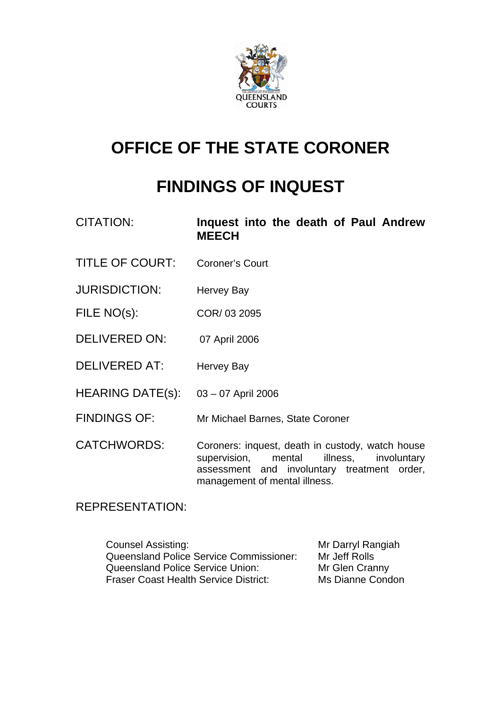

# **OFFICE OF THE STATE CORONER**

# **FINDINGS OF INQUEST**

| <b>CITATION:</b> |              |  |  | Inquest into the death of Paul Andrew |
|------------------|--------------|--|--|---------------------------------------|
|                  | <b>MEECH</b> |  |  |                                       |

- TITLE OF COURT: Coroner's Court
- JURISDICTION: Hervey Bay
- FILE NO(s): COR/ 03 2095
- DELIVERED ON: 07 April 2006
- DELIVERED AT: Hervey Bay
- HEARING DATE(s): 03 07 April 2006
- FINDINGS OF: Mr Michael Barnes, State Coroner

CATCHWORDS: Coroners: inquest, death in custody, watch house supervision, mental illness, involuntary assessment and involuntary treatment order, management of mental illness.

## REPRESENTATION:

| <b>Counsel Assisting:</b>                      | Mr Darryl Rangiah |
|------------------------------------------------|-------------------|
| <b>Queensland Police Service Commissioner:</b> | Mr Jeff Rolls     |
| Queensland Police Service Union:               | Mr Glen Cranny    |
| <b>Fraser Coast Health Service District:</b>   | Ms Dianne Condon  |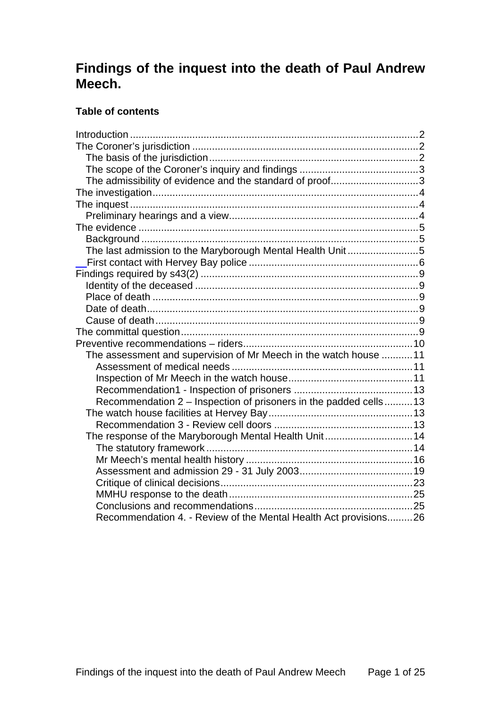# **Findings of the inquest into the death of Paul Andrew Meech.**

### **Table of contents**

| The admissibility of evidence and the standard of proof3          |  |
|-------------------------------------------------------------------|--|
|                                                                   |  |
|                                                                   |  |
|                                                                   |  |
|                                                                   |  |
|                                                                   |  |
| The last admission to the Maryborough Mental Health Unit 5        |  |
|                                                                   |  |
|                                                                   |  |
|                                                                   |  |
|                                                                   |  |
|                                                                   |  |
|                                                                   |  |
|                                                                   |  |
|                                                                   |  |
| The assessment and supervision of Mr Meech in the watch house  11 |  |
|                                                                   |  |
|                                                                   |  |
|                                                                   |  |
| Recommendation 2 - Inspection of prisoners in the padded cells 13 |  |
|                                                                   |  |
|                                                                   |  |
| The response of the Maryborough Mental Health Unit14              |  |
|                                                                   |  |
|                                                                   |  |
|                                                                   |  |
|                                                                   |  |
|                                                                   |  |
|                                                                   |  |
| Recommendation 4. - Review of the Mental Health Act provisions26  |  |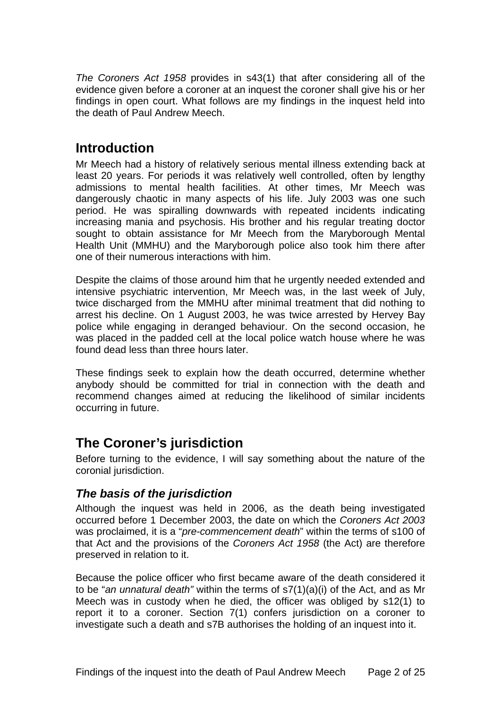<span id="page-2-0"></span>*The Coroners Act 1958* provides in s43(1) that after considering all of the evidence given before a coroner at an inquest the coroner shall give his or her findings in open court. What follows are my findings in the inquest held into the death of Paul Andrew Meech.

# **Introduction**

Mr Meech had a history of relatively serious mental illness extending back at least 20 years. For periods it was relatively well controlled, often by lengthy admissions to mental health facilities. At other times, Mr Meech was dangerously chaotic in many aspects of his life. July 2003 was one such period. He was spiralling downwards with repeated incidents indicating increasing mania and psychosis. His brother and his regular treating doctor sought to obtain assistance for Mr Meech from the Maryborough Mental Health Unit (MMHU) and the Maryborough police also took him there after one of their numerous interactions with him.

Despite the claims of those around him that he urgently needed extended and intensive psychiatric intervention, Mr Meech was, in the last week of July, twice discharged from the MMHU after minimal treatment that did nothing to arrest his decline. On 1 August 2003, he was twice arrested by Hervey Bay police while engaging in deranged behaviour. On the second occasion, he was placed in the padded cell at the local police watch house where he was found dead less than three hours later.

These findings seek to explain how the death occurred, determine whether anybody should be committed for trial in connection with the death and recommend changes aimed at reducing the likelihood of similar incidents occurring in future.

# **The Coroner's jurisdiction**

Before turning to the evidence, I will say something about the nature of the coronial jurisdiction.

# *The basis of the jurisdiction*

Although the inquest was held in 2006, as the death being investigated occurred before 1 December 2003, the date on which the *Coroners Act 2003* was proclaimed, it is a "*pre-commencement death*" within the terms of s100 of that Act and the provisions of the *Coroners Act 1958* (the Act) are therefore preserved in relation to it.

Because the police officer who first became aware of the death considered it to be "*an unnatural death"* within the terms of s7(1)(a)(i) of the Act, and as Mr Meech was in custody when he died, the officer was obliged by s12(1) to report it to a coroner. Section 7(1) confers jurisdiction on a coroner to investigate such a death and s7B authorises the holding of an inquest into it.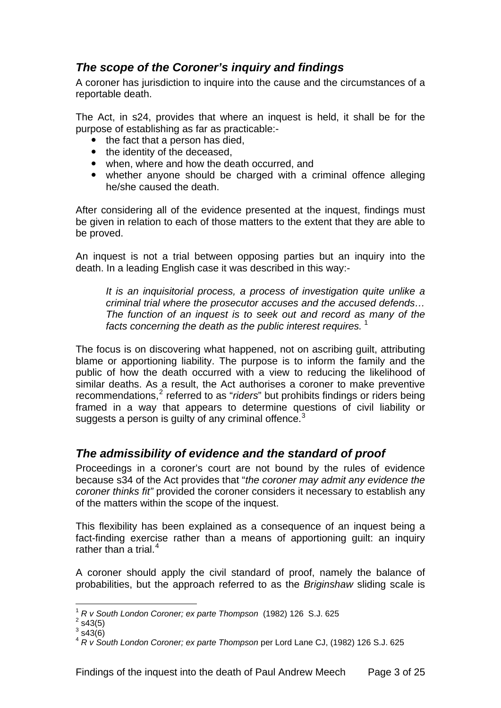# <span id="page-3-0"></span>*The scope of the Coroner's inquiry and findings*

A coroner has jurisdiction to inquire into the cause and the circumstances of a reportable death.

The Act, in s24, provides that where an inquest is held, it shall be for the purpose of establishing as far as practicable:-

- $\bullet$  the fact that a person has died,
- the identity of the deceased.
- when, where and how the death occurred, and
- whether anyone should be charged with a criminal offence alleging he/she caused the death.

After considering all of the evidence presented at the inquest, findings must be given in relation to each of those matters to the extent that they are able to be proved.

An inquest is not a trial between opposing parties but an inquiry into the death. In a leading English case it was described in this way:-

*It is an inquisitorial process, a process of investigation quite unlike a criminal trial where the prosecutor accuses and the accused defends… The function of an inquest is to seek out and record as many of the*  facts concerning the death as the public interest requires.<sup>[1](#page-3-1)</sup>

The focus is on discovering what happened, not on ascribing guilt, attributing blame or apportioning liability. The purpose is to inform the family and the public of how the death occurred with a view to reducing the likelihood of similar deaths. As a result, the Act authorises a coroner to make preventive recommendations,<sup>[2](#page-3-2)</sup> referred to as "riders" but prohibits findings or riders being framed in a way that appears to determine questions of civil liability or suggests a person is quilty of any criminal offence.<sup>[3](#page-3-3)</sup>

# *The admissibility of evidence and the standard of proof*

Proceedings in a coroner's court are not bound by the rules of evidence because s34 of the Act provides that "*the coroner may admit any evidence the coroner thinks fit"* provided the coroner considers it necessary to establish any of the matters within the scope of the inquest.

This flexibility has been explained as a consequence of an inquest being a fact-finding exercise rather than a means of apportioning guilt: an inquiry rather than a trial. $4$ 

A coroner should apply the civil standard of proof, namely the balance of probabilities, but the approach referred to as the *Briginshaw* sliding scale is

1

<span id="page-3-1"></span><sup>1</sup> *R v South London Coroner; ex parte Thompson* (1982) 126 S.J. 625 2

<span id="page-3-2"></span> $2$  s43(5)  $3$  s43(6)

<span id="page-3-4"></span><span id="page-3-3"></span><sup>4</sup> *R v South London Coroner; ex parte Thompson* per Lord Lane CJ, (1982) 126 S.J. 625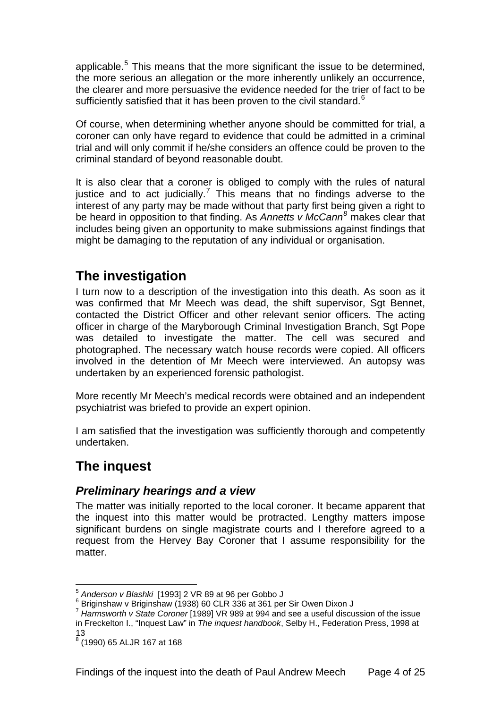<span id="page-4-0"></span>applicable.<sup>[5](#page-4-1)</sup> This means that the more significant the issue to be determined, the more serious an allegation or the more inherently unlikely an occurrence, the clearer and more persuasive the evidence needed for the trier of fact to be sufficiently satisfied that it has been proven to the civil standard. $6$ 

Of course, when determining whether anyone should be committed for trial, a coroner can only have regard to evidence that could be admitted in a criminal trial and will only commit if he/she considers an offence could be proven to the criminal standard of beyond reasonable doubt.

It is also clear that a coroner is obliged to comply with the rules of natural justice and to act judicially.<sup>[7](#page-4-3)</sup> This means that no findings adverse to the interest of any party may be made without that party first being given a right to be heard in opposition to that finding. As *Annetts v McCann[8](#page-4-4)* makes clear that includes being given an opportunity to make submissions against findings that might be damaging to the reputation of any individual or organisation.

# **The investigation**

I turn now to a description of the investigation into this death. As soon as it was confirmed that Mr Meech was dead, the shift supervisor, Sgt Bennet, contacted the District Officer and other relevant senior officers. The acting officer in charge of the Maryborough Criminal Investigation Branch, Sgt Pope was detailed to investigate the matter. The cell was secured and photographed. The necessary watch house records were copied. All officers involved in the detention of Mr Meech were interviewed. An autopsy was undertaken by an experienced forensic pathologist.

More recently Mr Meech's medical records were obtained and an independent psychiatrist was briefed to provide an expert opinion.

I am satisfied that the investigation was sufficiently thorough and competently undertaken.

# **The inquest**

1

# *Preliminary hearings and a view*

The matter was initially reported to the local coroner. It became apparent that the inquest into this matter would be protracted. Lengthy matters impose significant burdens on single magistrate courts and I therefore agreed to a request from the Hervey Bay Coroner that I assume responsibility for the matter.

<sup>5</sup> *Anderson v Blashki* [1993] 2 VR 89 at 96 per Gobbo J 6

<span id="page-4-2"></span><span id="page-4-1"></span> $6$  Briginshaw v Briginshaw (1938) 60 CLR 336 at 361 per Sir Owen Dixon J

<span id="page-4-3"></span><sup>7</sup> *Harmsworth v State Coroner* [1989] VR 989 at 994 and see a useful discussion of the issue in Freckelton I., "Inquest Law" in *The inquest handbook*, Selby H., Federation Press, 1998 at 13

<span id="page-4-4"></span><sup>8</sup> (1990) 65 ALJR 167 at 168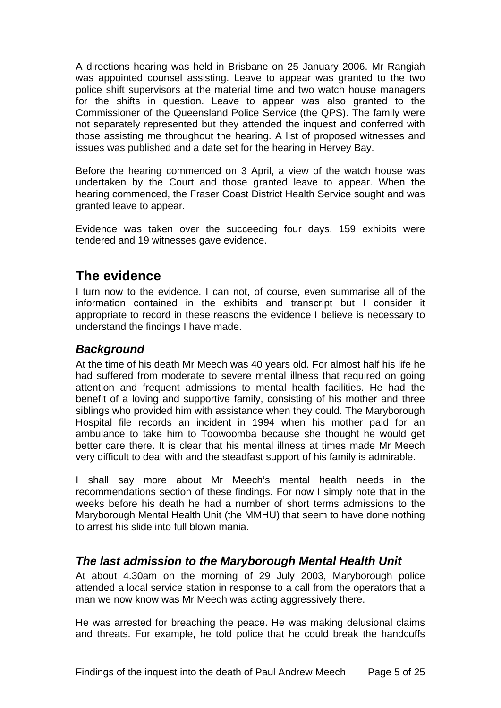<span id="page-5-0"></span>A directions hearing was held in Brisbane on 25 January 2006. Mr Rangiah was appointed counsel assisting. Leave to appear was granted to the two police shift supervisors at the material time and two watch house managers for the shifts in question. Leave to appear was also granted to the Commissioner of the Queensland Police Service (the QPS). The family were not separately represented but they attended the inquest and conferred with those assisting me throughout the hearing. A list of proposed witnesses and issues was published and a date set for the hearing in Hervey Bay.

Before the hearing commenced on 3 April, a view of the watch house was undertaken by the Court and those granted leave to appear. When the hearing commenced, the Fraser Coast District Health Service sought and was granted leave to appear.

Evidence was taken over the succeeding four days. 159 exhibits were tendered and 19 witnesses gave evidence.

# **The evidence**

I turn now to the evidence. I can not, of course, even summarise all of the information contained in the exhibits and transcript but I consider it appropriate to record in these reasons the evidence I believe is necessary to understand the findings I have made.

# *Background*

At the time of his death Mr Meech was 40 years old. For almost half his life he had suffered from moderate to severe mental illness that required on going attention and frequent admissions to mental health facilities. He had the benefit of a loving and supportive family, consisting of his mother and three siblings who provided him with assistance when they could. The Maryborough Hospital file records an incident in 1994 when his mother paid for an ambulance to take him to Toowoomba because she thought he would get better care there. It is clear that his mental illness at times made Mr Meech very difficult to deal with and the steadfast support of his family is admirable.

I shall say more about Mr Meech's mental health needs in the recommendations section of these findings. For now I simply note that in the weeks before his death he had a number of short terms admissions to the Maryborough Mental Health Unit (the MMHU) that seem to have done nothing to arrest his slide into full blown mania.

# *The last admission to the Maryborough Mental Health Unit*

At about 4.30am on the morning of 29 July 2003, Maryborough police attended a local service station in response to a call from the operators that a man we now know was Mr Meech was acting aggressively there.

He was arrested for breaching the peace. He was making delusional claims and threats. For example, he told police that he could break the handcuffs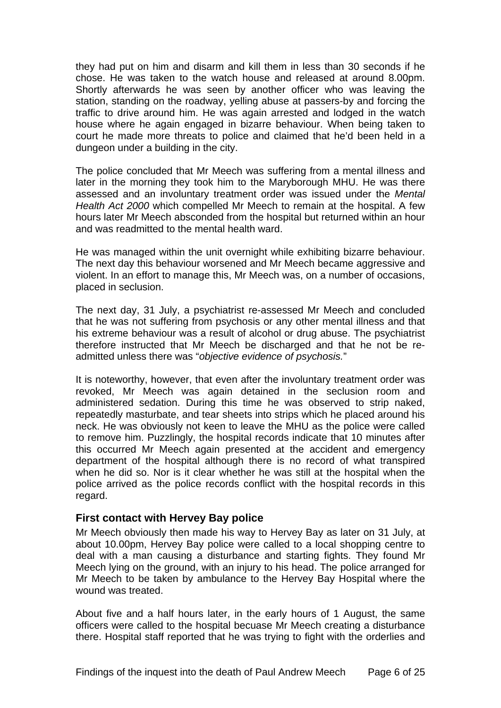<span id="page-6-0"></span>they had put on him and disarm and kill them in less than 30 seconds if he chose. He was taken to the watch house and released at around 8.00pm. Shortly afterwards he was seen by another officer who was leaving the station, standing on the roadway, yelling abuse at passers-by and forcing the traffic to drive around him. He was again arrested and lodged in the watch house where he again engaged in bizarre behaviour. When being taken to court he made more threats to police and claimed that he'd been held in a dungeon under a building in the city.

The police concluded that Mr Meech was suffering from a mental illness and later in the morning they took him to the Maryborough MHU. He was there assessed and an involuntary treatment order was issued under the *Mental Health Act 2000* which compelled Mr Meech to remain at the hospital. A few hours later Mr Meech absconded from the hospital but returned within an hour and was readmitted to the mental health ward.

He was managed within the unit overnight while exhibiting bizarre behaviour. The next day this behaviour worsened and Mr Meech became aggressive and violent. In an effort to manage this, Mr Meech was, on a number of occasions, placed in seclusion.

The next day, 31 July, a psychiatrist re-assessed Mr Meech and concluded that he was not suffering from psychosis or any other mental illness and that his extreme behaviour was a result of alcohol or drug abuse. The psychiatrist therefore instructed that Mr Meech be discharged and that he not be readmitted unless there was "*objective evidence of psychosis.*"

It is noteworthy, however, that even after the involuntary treatment order was revoked, Mr Meech was again detained in the seclusion room and administered sedation. During this time he was observed to strip naked, repeatedly masturbate, and tear sheets into strips which he placed around his neck. He was obviously not keen to leave the MHU as the police were called to remove him. Puzzlingly, the hospital records indicate that 10 minutes after this occurred Mr Meech again presented at the accident and emergency department of the hospital although there is no record of what transpired when he did so. Nor is it clear whether he was still at the hospital when the police arrived as the police records conflict with the hospital records in this regard.

#### **First contact with Hervey Bay police**

Mr Meech obviously then made his way to Hervey Bay as later on 31 July, at about 10.00pm, Hervey Bay police were called to a local shopping centre to deal with a man causing a disturbance and starting fights. They found Mr Meech lying on the ground, with an injury to his head. The police arranged for Mr Meech to be taken by ambulance to the Hervey Bay Hospital where the wound was treated.

About five and a half hours later, in the early hours of 1 August, the same officers were called to the hospital becuase Mr Meech creating a disturbance there. Hospital staff reported that he was trying to fight with the orderlies and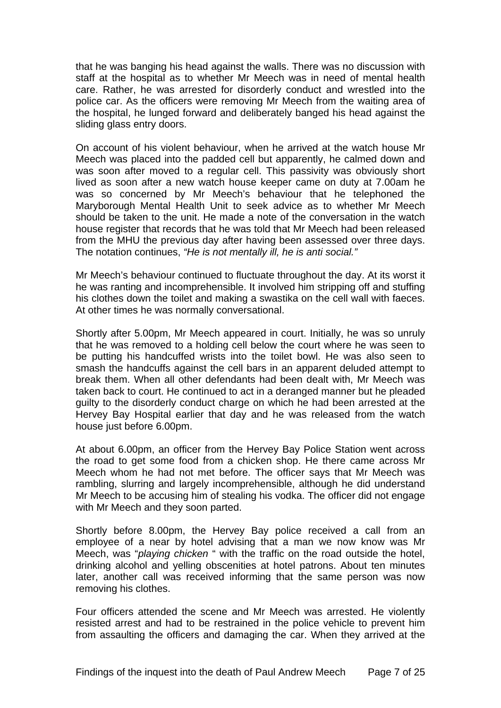that he was banging his head against the walls. There was no discussion with staff at the hospital as to whether Mr Meech was in need of mental health care. Rather, he was arrested for disorderly conduct and wrestled into the police car. As the officers were removing Mr Meech from the waiting area of the hospital, he lunged forward and deliberately banged his head against the sliding glass entry doors.

On account of his violent behaviour, when he arrived at the watch house Mr Meech was placed into the padded cell but apparently, he calmed down and was soon after moved to a regular cell. This passivity was obviously short lived as soon after a new watch house keeper came on duty at 7.00am he was so concerned by Mr Meech's behaviour that he telephoned the Maryborough Mental Health Unit to seek advice as to whether Mr Meech should be taken to the unit. He made a note of the conversation in the watch house register that records that he was told that Mr Meech had been released from the MHU the previous day after having been assessed over three days. The notation continues, *"He is not mentally ill, he is anti social."*

Mr Meech's behaviour continued to fluctuate throughout the day. At its worst it he was ranting and incomprehensible. It involved him stripping off and stuffing his clothes down the toilet and making a swastika on the cell wall with faeces. At other times he was normally conversational.

Shortly after 5.00pm, Mr Meech appeared in court. Initially, he was so unruly that he was removed to a holding cell below the court where he was seen to be putting his handcuffed wrists into the toilet bowl. He was also seen to smash the handcuffs against the cell bars in an apparent deluded attempt to break them. When all other defendants had been dealt with, Mr Meech was taken back to court. He continued to act in a deranged manner but he pleaded guilty to the disorderly conduct charge on which he had been arrested at the Hervey Bay Hospital earlier that day and he was released from the watch house just before 6.00pm.

At about 6.00pm, an officer from the Hervey Bay Police Station went across the road to get some food from a chicken shop. He there came across Mr Meech whom he had not met before. The officer says that Mr Meech was rambling, slurring and largely incomprehensible, although he did understand Mr Meech to be accusing him of stealing his vodka. The officer did not engage with Mr Meech and they soon parted.

Shortly before 8.00pm, the Hervey Bay police received a call from an employee of a near by hotel advising that a man we now know was Mr Meech, was "*playing chicken* " with the traffic on the road outside the hotel, drinking alcohol and yelling obscenities at hotel patrons. About ten minutes later, another call was received informing that the same person was now removing his clothes.

Four officers attended the scene and Mr Meech was arrested. He violently resisted arrest and had to be restrained in the police vehicle to prevent him from assaulting the officers and damaging the car. When they arrived at the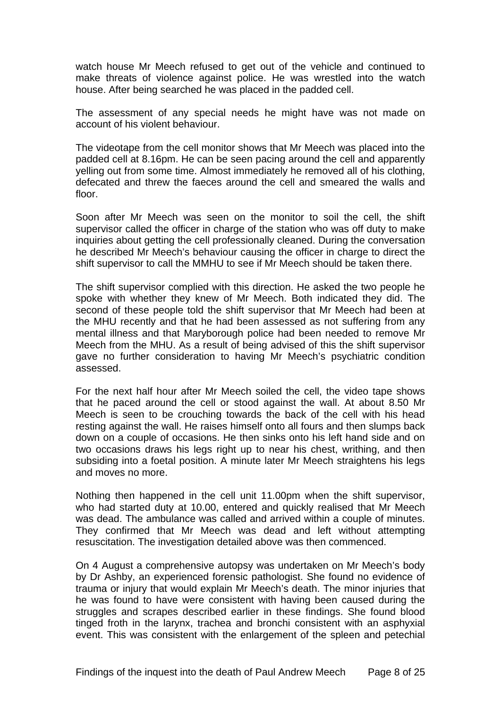watch house Mr Meech refused to get out of the vehicle and continued to make threats of violence against police. He was wrestled into the watch house. After being searched he was placed in the padded cell.

The assessment of any special needs he might have was not made on account of his violent behaviour.

The videotape from the cell monitor shows that Mr Meech was placed into the padded cell at 8.16pm. He can be seen pacing around the cell and apparently yelling out from some time. Almost immediately he removed all of his clothing, defecated and threw the faeces around the cell and smeared the walls and floor.

Soon after Mr Meech was seen on the monitor to soil the cell, the shift supervisor called the officer in charge of the station who was off duty to make inquiries about getting the cell professionally cleaned. During the conversation he described Mr Meech's behaviour causing the officer in charge to direct the shift supervisor to call the MMHU to see if Mr Meech should be taken there.

The shift supervisor complied with this direction. He asked the two people he spoke with whether they knew of Mr Meech. Both indicated they did. The second of these people told the shift supervisor that Mr Meech had been at the MHU recently and that he had been assessed as not suffering from any mental illness and that Maryborough police had been needed to remove Mr Meech from the MHU. As a result of being advised of this the shift supervisor gave no further consideration to having Mr Meech's psychiatric condition assessed.

For the next half hour after Mr Meech soiled the cell, the video tape shows that he paced around the cell or stood against the wall. At about 8.50 Mr Meech is seen to be crouching towards the back of the cell with his head resting against the wall. He raises himself onto all fours and then slumps back down on a couple of occasions. He then sinks onto his left hand side and on two occasions draws his legs right up to near his chest, writhing, and then subsiding into a foetal position. A minute later Mr Meech straightens his legs and moves no more.

Nothing then happened in the cell unit 11.00pm when the shift supervisor, who had started duty at 10.00, entered and quickly realised that Mr Meech was dead. The ambulance was called and arrived within a couple of minutes. They confirmed that Mr Meech was dead and left without attempting resuscitation. The investigation detailed above was then commenced.

On 4 August a comprehensive autopsy was undertaken on Mr Meech's body by Dr Ashby, an experienced forensic pathologist. She found no evidence of trauma or injury that would explain Mr Meech's death. The minor injuries that he was found to have were consistent with having been caused during the struggles and scrapes described earlier in these findings. She found blood tinged froth in the larynx, trachea and bronchi consistent with an asphyxial event. This was consistent with the enlargement of the spleen and petechial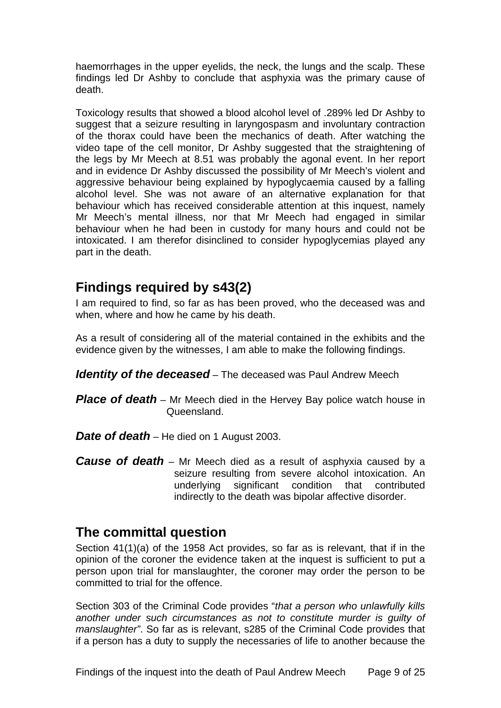<span id="page-9-0"></span>haemorrhages in the upper eyelids, the neck, the lungs and the scalp. These findings led Dr Ashby to conclude that asphyxia was the primary cause of death.

Toxicology results that showed a blood alcohol level of .289% led Dr Ashby to suggest that a seizure resulting in laryngospasm and involuntary contraction of the thorax could have been the mechanics of death. After watching the video tape of the cell monitor, Dr Ashby suggested that the straightening of the legs by Mr Meech at 8.51 was probably the agonal event. In her report and in evidence Dr Ashby discussed the possibility of Mr Meech's violent and aggressive behaviour being explained by hypoglycaemia caused by a falling alcohol level. She was not aware of an alternative explanation for that behaviour which has received considerable attention at this inquest, namely Mr Meech's mental illness, nor that Mr Meech had engaged in similar behaviour when he had been in custody for many hours and could not be intoxicated. I am therefor disinclined to consider hypoglycemias played any part in the death.

# **Findings required by s43(2)**

I am required to find, so far as has been proved, who the deceased was and when, where and how he came by his death.

As a result of considering all of the material contained in the exhibits and the evidence given by the witnesses, I am able to make the following findings.

*Identity of the deceased* – The deceased was Paul Andrew Meech

- *Place of death* Mr Meech died in the Hervey Bay police watch house in Queensland.
- **Date of death** He died on 1 August 2003.
- *Cause of death* Mr Meech died as a result of asphyxia caused by a seizure resulting from severe alcohol intoxication. An underlying significant condition that contributed indirectly to the death was bipolar affective disorder.

# **The committal question**

Section 41(1)(a) of the 1958 Act provides, so far as is relevant, that if in the opinion of the coroner the evidence taken at the inquest is sufficient to put a person upon trial for manslaughter, the coroner may order the person to be committed to trial for the offence.

Section 303 of the Criminal Code provides "*that a person who unlawfully kills another under such circumstances as not to constitute murder is guilty of manslaughter"*. So far as is relevant, s285 of the Criminal Code provides that if a person has a duty to supply the necessaries of life to another because the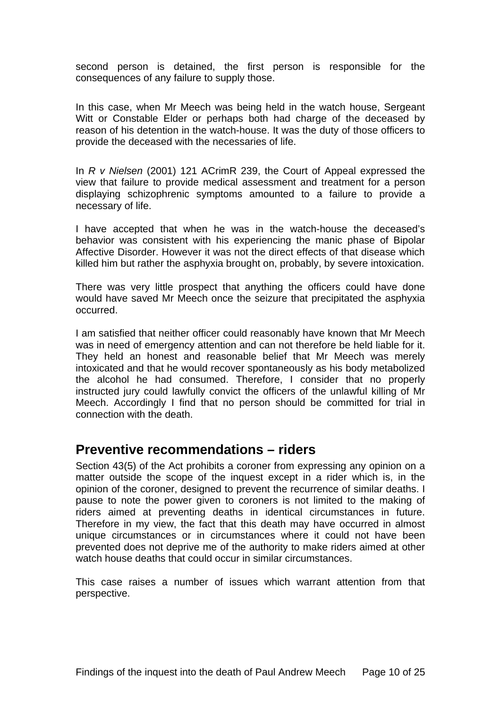<span id="page-10-0"></span>second person is detained, the first person is responsible for the consequences of any failure to supply those.

In this case, when Mr Meech was being held in the watch house, Sergeant Witt or Constable Elder or perhaps both had charge of the deceased by reason of his detention in the watch-house. It was the duty of those officers to provide the deceased with the necessaries of life.

In *R v Nielsen* (2001) 121 ACrimR 239, the Court of Appeal expressed the view that failure to provide medical assessment and treatment for a person displaying schizophrenic symptoms amounted to a failure to provide a necessary of life.

I have accepted that when he was in the watch-house the deceased's behavior was consistent with his experiencing the manic phase of Bipolar Affective Disorder. However it was not the direct effects of that disease which killed him but rather the asphyxia brought on, probably, by severe intoxication.

There was very little prospect that anything the officers could have done would have saved Mr Meech once the seizure that precipitated the asphyxia occurred.

I am satisfied that neither officer could reasonably have known that Mr Meech was in need of emergency attention and can not therefore be held liable for it. They held an honest and reasonable belief that Mr Meech was merely intoxicated and that he would recover spontaneously as his body metabolized the alcohol he had consumed. Therefore, I consider that no properly instructed jury could lawfully convict the officers of the unlawful killing of Mr Meech. Accordingly I find that no person should be committed for trial in connection with the death.

# **Preventive recommendations – riders**

Section 43(5) of the Act prohibits a coroner from expressing any opinion on a matter outside the scope of the inquest except in a rider which is, in the opinion of the coroner, designed to prevent the recurrence of similar deaths. I pause to note the power given to coroners is not limited to the making of riders aimed at preventing deaths in identical circumstances in future. Therefore in my view, the fact that this death may have occurred in almost unique circumstances or in circumstances where it could not have been prevented does not deprive me of the authority to make riders aimed at other watch house deaths that could occur in similar circumstances.

This case raises a number of issues which warrant attention from that perspective.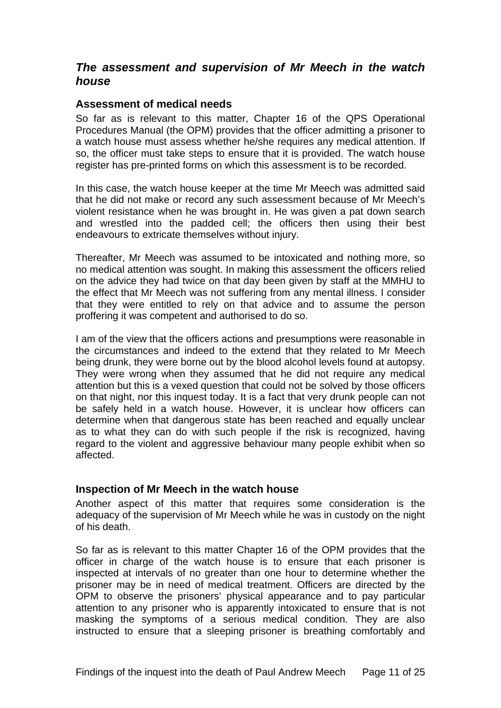## <span id="page-11-0"></span>*The assessment and supervision of Mr Meech in the watch house*

#### **Assessment of medical needs**

So far as is relevant to this matter, Chapter 16 of the QPS Operational Procedures Manual (the OPM) provides that the officer admitting a prisoner to a watch house must assess whether he/she requires any medical attention. If so, the officer must take steps to ensure that it is provided. The watch house register has pre-printed forms on which this assessment is to be recorded.

In this case, the watch house keeper at the time Mr Meech was admitted said that he did not make or record any such assessment because of Mr Meech's violent resistance when he was brought in. He was given a pat down search and wrestled into the padded cell; the officers then using their best endeavours to extricate themselves without injury.

Thereafter, Mr Meech was assumed to be intoxicated and nothing more, so no medical attention was sought. In making this assessment the officers relied on the advice they had twice on that day been given by staff at the MMHU to the effect that Mr Meech was not suffering from any mental illness. I consider that they were entitled to rely on that advice and to assume the person proffering it was competent and authorised to do so.

I am of the view that the officers actions and presumptions were reasonable in the circumstances and indeed to the extend that they related to Mr Meech being drunk, they were borne out by the blood alcohol levels found at autopsy. They were wrong when they assumed that he did not require any medical attention but this is a vexed question that could not be solved by those officers on that night, nor this inquest today. It is a fact that very drunk people can not be safely held in a watch house. However, it is unclear how officers can determine when that dangerous state has been reached and equally unclear as to what they can do with such people if the risk is recognized, having regard to the violent and aggressive behaviour many people exhibit when so affected.

#### **Inspection of Mr Meech in the watch house**

Another aspect of this matter that requires some consideration is the adequacy of the supervision of Mr Meech while he was in custody on the night of his death.

So far as is relevant to this matter Chapter 16 of the OPM provides that the officer in charge of the watch house is to ensure that each prisoner is inspected at intervals of no greater than one hour to determine whether the prisoner may be in need of medical treatment. Officers are directed by the OPM to observe the prisoners' physical appearance and to pay particular attention to any prisoner who is apparently intoxicated to ensure that is not masking the symptoms of a serious medical condition. They are also instructed to ensure that a sleeping prisoner is breathing comfortably and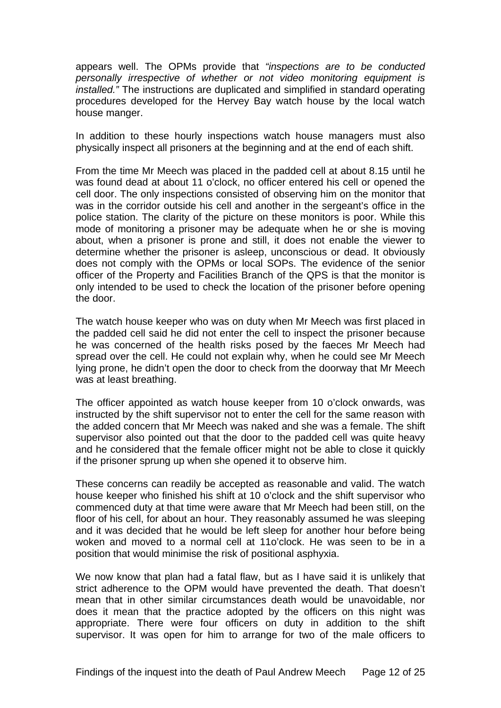appears well. The OPMs provide that *"inspections are to be conducted personally irrespective of whether or not video monitoring equipment is installed."* The instructions are duplicated and simplified in standard operating procedures developed for the Hervey Bay watch house by the local watch house manger.

In addition to these hourly inspections watch house managers must also physically inspect all prisoners at the beginning and at the end of each shift.

From the time Mr Meech was placed in the padded cell at about 8.15 until he was found dead at about 11 o'clock, no officer entered his cell or opened the cell door. The only inspections consisted of observing him on the monitor that was in the corridor outside his cell and another in the sergeant's office in the police station. The clarity of the picture on these monitors is poor. While this mode of monitoring a prisoner may be adequate when he or she is moving about, when a prisoner is prone and still, it does not enable the viewer to determine whether the prisoner is asleep, unconscious or dead. It obviously does not comply with the OPMs or local SOPs. The evidence of the senior officer of the Property and Facilities Branch of the QPS is that the monitor is only intended to be used to check the location of the prisoner before opening the door.

The watch house keeper who was on duty when Mr Meech was first placed in the padded cell said he did not enter the cell to inspect the prisoner because he was concerned of the health risks posed by the faeces Mr Meech had spread over the cell. He could not explain why, when he could see Mr Meech lying prone, he didn't open the door to check from the doorway that Mr Meech was at least breathing.

The officer appointed as watch house keeper from 10 o'clock onwards, was instructed by the shift supervisor not to enter the cell for the same reason with the added concern that Mr Meech was naked and she was a female. The shift supervisor also pointed out that the door to the padded cell was quite heavy and he considered that the female officer might not be able to close it quickly if the prisoner sprung up when she opened it to observe him.

These concerns can readily be accepted as reasonable and valid. The watch house keeper who finished his shift at 10 o'clock and the shift supervisor who commenced duty at that time were aware that Mr Meech had been still, on the floor of his cell, for about an hour. They reasonably assumed he was sleeping and it was decided that he would be left sleep for another hour before being woken and moved to a normal cell at 11o'clock. He was seen to be in a position that would minimise the risk of positional asphyxia.

We now know that plan had a fatal flaw, but as I have said it is unlikely that strict adherence to the OPM would have prevented the death. That doesn't mean that in other similar circumstances death would be unavoidable, nor does it mean that the practice adopted by the officers on this night was appropriate. There were four officers on duty in addition to the shift supervisor. It was open for him to arrange for two of the male officers to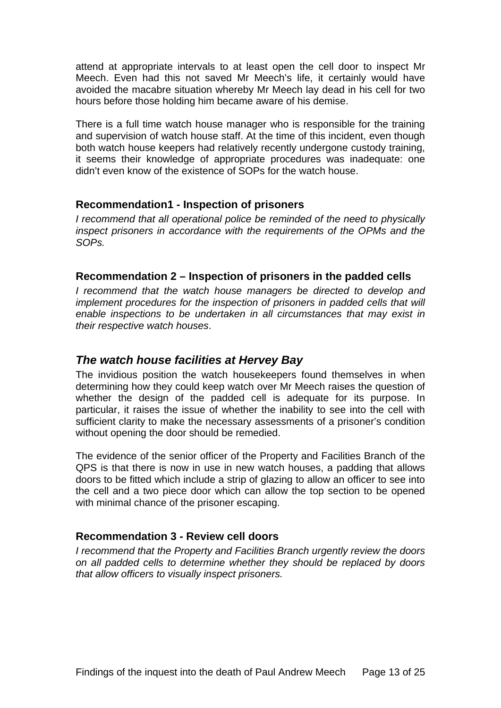<span id="page-13-0"></span>attend at appropriate intervals to at least open the cell door to inspect Mr Meech. Even had this not saved Mr Meech's life, it certainly would have avoided the macabre situation whereby Mr Meech lay dead in his cell for two hours before those holding him became aware of his demise.

There is a full time watch house manager who is responsible for the training and supervision of watch house staff. At the time of this incident, even though both watch house keepers had relatively recently undergone custody training, it seems their knowledge of appropriate procedures was inadequate: one didn't even know of the existence of SOPs for the watch house.

#### **Recommendation1 - Inspection of prisoners**

*I recommend that all operational police be reminded of the need to physically inspect prisoners in accordance with the requirements of the OPMs and the SOPs.* 

#### **Recommendation 2 – Inspection of prisoners in the padded cells**

*I recommend that the watch house managers be directed to develop and implement procedures for the inspection of prisoners in padded cells that will enable inspections to be undertaken in all circumstances that may exist in their respective watch houses*.

### *The watch house facilities at Hervey Bay*

The invidious position the watch housekeepers found themselves in when determining how they could keep watch over Mr Meech raises the question of whether the design of the padded cell is adequate for its purpose. In particular, it raises the issue of whether the inability to see into the cell with sufficient clarity to make the necessary assessments of a prisoner's condition without opening the door should be remedied.

The evidence of the senior officer of the Property and Facilities Branch of the QPS is that there is now in use in new watch houses, a padding that allows doors to be fitted which include a strip of glazing to allow an officer to see into the cell and a two piece door which can allow the top section to be opened with minimal chance of the prisoner escaping.

### **Recommendation 3 - Review cell doors**

*I recommend that the Property and Facilities Branch urgently review the doors on all padded cells to determine whether they should be replaced by doors that allow officers to visually inspect prisoners.*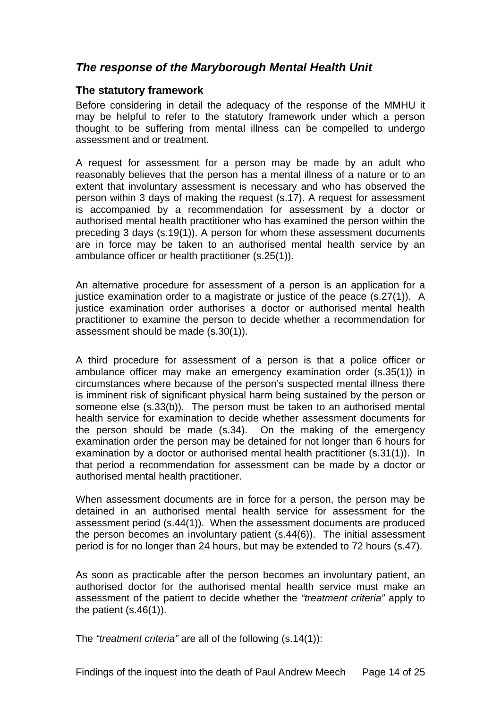## <span id="page-14-0"></span>*The response of the Maryborough Mental Health Unit*

#### **The statutory framework**

Before considering in detail the adequacy of the response of the MMHU it may be helpful to refer to the statutory framework under which a person thought to be suffering from mental illness can be compelled to undergo assessment and or treatment.

A request for assessment for a person may be made by an adult who reasonably believes that the person has a mental illness of a nature or to an extent that involuntary assessment is necessary and who has observed the person within 3 days of making the request (s.17). A request for assessment is accompanied by a recommendation for assessment by a doctor or authorised mental health practitioner who has examined the person within the preceding 3 days (s.19(1)). A person for whom these assessment documents are in force may be taken to an authorised mental health service by an ambulance officer or health practitioner (s.25(1)).

An alternative procedure for assessment of a person is an application for a justice examination order to a magistrate or justice of the peace (s.27(1)). A justice examination order authorises a doctor or authorised mental health practitioner to examine the person to decide whether a recommendation for assessment should be made (s.30(1)).

A third procedure for assessment of a person is that a police officer or ambulance officer may make an emergency examination order (s.35(1)) in circumstances where because of the person's suspected mental illness there is imminent risk of significant physical harm being sustained by the person or someone else (s.33(b)). The person must be taken to an authorised mental health service for examination to decide whether assessment documents for the person should be made (s.34). On the making of the emergency examination order the person may be detained for not longer than 6 hours for examination by a doctor or authorised mental health practitioner (s.31(1)). In that period a recommendation for assessment can be made by a doctor or authorised mental health practitioner.

When assessment documents are in force for a person, the person may be detained in an authorised mental health service for assessment for the assessment period (s.44(1)). When the assessment documents are produced the person becomes an involuntary patient (s.44(6)). The initial assessment period is for no longer than 24 hours, but may be extended to 72 hours (s.47).

As soon as practicable after the person becomes an involuntary patient, an authorised doctor for the authorised mental health service must make an assessment of the patient to decide whether the *"treatment criteria"* apply to the patient  $(s.46(1))$ .

The *"treatment criteria"* are all of the following (s.14(1)):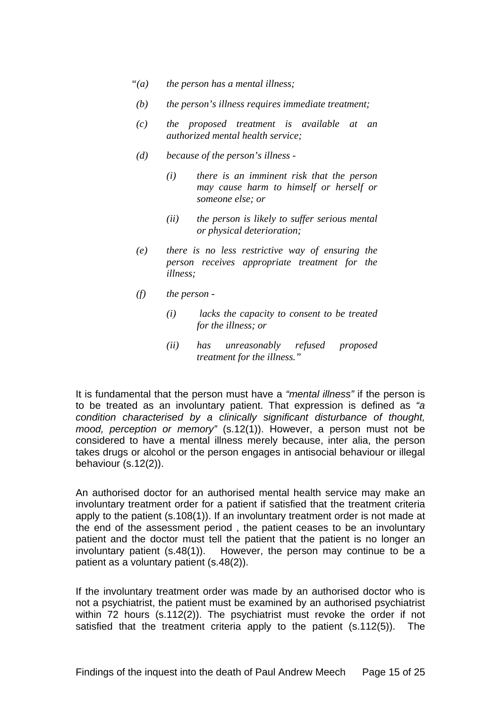- *"(a) the person has a mental illness;*
- *(b) the person's illness requires immediate treatment;*
- *(c) the proposed treatment is available at an authorized mental health service;*
- *(d) because of the person's illness* 
	- *(i) there is an imminent risk that the person may cause harm to himself or herself or someone else; or*
	- *(ii) the person is likely to suffer serious mental or physical deterioration;*
- *(e) there is no less restrictive way of ensuring the person receives appropriate treatment for the illness;*
- *(f) the person* 
	- *(i) lacks the capacity to consent to be treated for the illness; or*
	- *(ii) has unreasonably refused proposed treatment for the illness."*

It is fundamental that the person must have a *"mental illness"* if the person is to be treated as an involuntary patient. That expression is defined as *"a condition characterised by a clinically significant disturbance of thought,*  mood, perception or memory" (s.12(1)). However, a person must not be considered to have a mental illness merely because, inter alia, the person takes drugs or alcohol or the person engages in antisocial behaviour or illegal behaviour (s.12(2)).

An authorised doctor for an authorised mental health service may make an involuntary treatment order for a patient if satisfied that the treatment criteria apply to the patient (s.108(1)). If an involuntary treatment order is not made at the end of the assessment period , the patient ceases to be an involuntary patient and the doctor must tell the patient that the patient is no longer an involuntary patient (s.48(1)). However, the person may continue to be a patient as a voluntary patient (s.48(2)).

If the involuntary treatment order was made by an authorised doctor who is not a psychiatrist, the patient must be examined by an authorised psychiatrist within 72 hours (s.112(2)). The psychiatrist must revoke the order if not satisfied that the treatment criteria apply to the patient (s.112(5)). The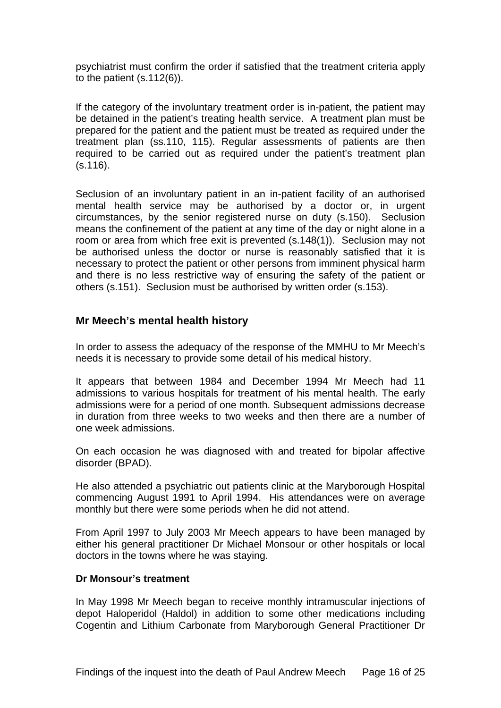<span id="page-16-0"></span>psychiatrist must confirm the order if satisfied that the treatment criteria apply to the patient (s.112(6)).

If the category of the involuntary treatment order is in-patient, the patient may be detained in the patient's treating health service. A treatment plan must be prepared for the patient and the patient must be treated as required under the treatment plan (ss.110, 115). Regular assessments of patients are then required to be carried out as required under the patient's treatment plan (s.116).

Seclusion of an involuntary patient in an in-patient facility of an authorised mental health service may be authorised by a doctor or, in urgent circumstances, by the senior registered nurse on duty (s.150). Seclusion means the confinement of the patient at any time of the day or night alone in a room or area from which free exit is prevented (s.148(1)). Seclusion may not be authorised unless the doctor or nurse is reasonably satisfied that it is necessary to protect the patient or other persons from imminent physical harm and there is no less restrictive way of ensuring the safety of the patient or others (s.151). Seclusion must be authorised by written order (s.153).

### **Mr Meech's mental health history**

In order to assess the adequacy of the response of the MMHU to Mr Meech's needs it is necessary to provide some detail of his medical history.

It appears that between 1984 and December 1994 Mr Meech had 11 admissions to various hospitals for treatment of his mental health. The early admissions were for a period of one month. Subsequent admissions decrease in duration from three weeks to two weeks and then there are a number of one week admissions.

On each occasion he was diagnosed with and treated for bipolar affective disorder (BPAD).

He also attended a psychiatric out patients clinic at the Maryborough Hospital commencing August 1991 to April 1994. His attendances were on average monthly but there were some periods when he did not attend.

From April 1997 to July 2003 Mr Meech appears to have been managed by either his general practitioner Dr Michael Monsour or other hospitals or local doctors in the towns where he was staying.

#### **Dr Monsour's treatment**

In May 1998 Mr Meech began to receive monthly intramuscular injections of depot Haloperidol (Haldol) in addition to some other medications including Cogentin and Lithium Carbonate from Maryborough General Practitioner Dr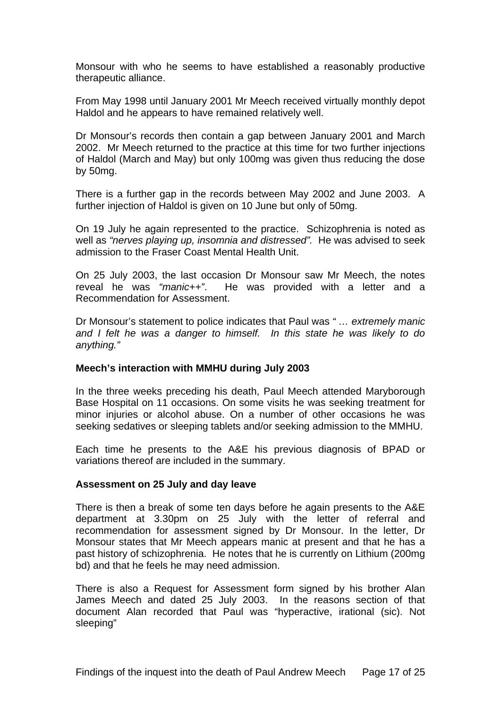Monsour with who he seems to have established a reasonably productive therapeutic alliance.

From May 1998 until January 2001 Mr Meech received virtually monthly depot Haldol and he appears to have remained relatively well.

Dr Monsour's records then contain a gap between January 2001 and March 2002. Mr Meech returned to the practice at this time for two further injections of Haldol (March and May) but only 100mg was given thus reducing the dose by 50mg.

There is a further gap in the records between May 2002 and June 2003. A further injection of Haldol is given on 10 June but only of 50mg.

On 19 July he again represented to the practice. Schizophrenia is noted as well as *"nerves playing up, insomnia and distressed".* He was advised to seek admission to the Fraser Coast Mental Health Unit.

On 25 July 2003, the last occasion Dr Monsour saw Mr Meech, the notes reveal he was *"manic++"*. He was provided with a letter and a Recommendation for Assessment.

Dr Monsour's statement to police indicates that Paul was *" … extremely manic and I felt he was a danger to himself. In this state he was likely to do anything."* 

#### **Meech's interaction with MMHU during July 2003**

In the three weeks preceding his death, Paul Meech attended Maryborough Base Hospital on 11 occasions. On some visits he was seeking treatment for minor injuries or alcohol abuse. On a number of other occasions he was seeking sedatives or sleeping tablets and/or seeking admission to the MMHU.

Each time he presents to the A&E his previous diagnosis of BPAD or variations thereof are included in the summary.

#### **Assessment on 25 July and day leave**

There is then a break of some ten days before he again presents to the A&E department at 3.30pm on 25 July with the letter of referral and recommendation for assessment signed by Dr Monsour. In the letter, Dr Monsour states that Mr Meech appears manic at present and that he has a past history of schizophrenia. He notes that he is currently on Lithium (200mg bd) and that he feels he may need admission.

There is also a Request for Assessment form signed by his brother Alan James Meech and dated 25 July 2003. In the reasons section of that document Alan recorded that Paul was "hyperactive, irational (sic). Not sleeping"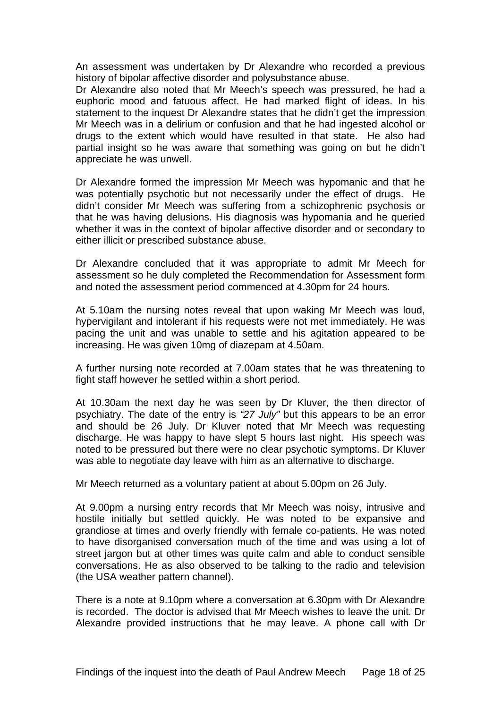An assessment was undertaken by Dr Alexandre who recorded a previous history of bipolar affective disorder and polysubstance abuse.

Dr Alexandre also noted that Mr Meech's speech was pressured, he had a euphoric mood and fatuous affect. He had marked flight of ideas. In his statement to the inquest Dr Alexandre states that he didn't get the impression Mr Meech was in a delirium or confusion and that he had ingested alcohol or drugs to the extent which would have resulted in that state. He also had partial insight so he was aware that something was going on but he didn't appreciate he was unwell.

Dr Alexandre formed the impression Mr Meech was hypomanic and that he was potentially psychotic but not necessarily under the effect of drugs. He didn't consider Mr Meech was suffering from a schizophrenic psychosis or that he was having delusions. His diagnosis was hypomania and he queried whether it was in the context of bipolar affective disorder and or secondary to either illicit or prescribed substance abuse.

Dr Alexandre concluded that it was appropriate to admit Mr Meech for assessment so he duly completed the Recommendation for Assessment form and noted the assessment period commenced at 4.30pm for 24 hours.

At 5.10am the nursing notes reveal that upon waking Mr Meech was loud, hypervigilant and intolerant if his requests were not met immediately. He was pacing the unit and was unable to settle and his agitation appeared to be increasing. He was given 10mg of diazepam at 4.50am.

A further nursing note recorded at 7.00am states that he was threatening to fight staff however he settled within a short period.

At 10.30am the next day he was seen by Dr Kluver, the then director of psychiatry. The date of the entry is *"27 July"* but this appears to be an error and should be 26 July. Dr Kluver noted that Mr Meech was requesting discharge. He was happy to have slept 5 hours last night. His speech was noted to be pressured but there were no clear psychotic symptoms. Dr Kluver was able to negotiate day leave with him as an alternative to discharge.

Mr Meech returned as a voluntary patient at about 5.00pm on 26 July.

At 9.00pm a nursing entry records that Mr Meech was noisy, intrusive and hostile initially but settled quickly. He was noted to be expansive and grandiose at times and overly friendly with female co-patients. He was noted to have disorganised conversation much of the time and was using a lot of street jargon but at other times was quite calm and able to conduct sensible conversations. He as also observed to be talking to the radio and television (the USA weather pattern channel).

There is a note at 9.10pm where a conversation at 6.30pm with Dr Alexandre is recorded. The doctor is advised that Mr Meech wishes to leave the unit. Dr Alexandre provided instructions that he may leave. A phone call with Dr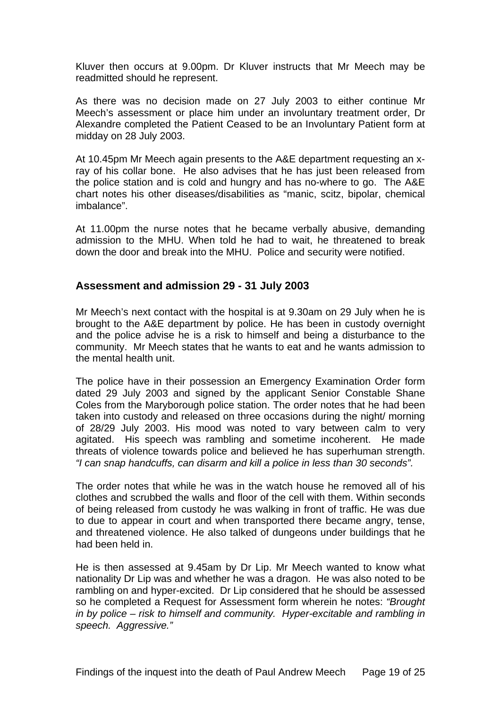<span id="page-19-0"></span>Kluver then occurs at 9.00pm. Dr Kluver instructs that Mr Meech may be readmitted should he represent.

As there was no decision made on 27 July 2003 to either continue Mr Meech's assessment or place him under an involuntary treatment order, Dr Alexandre completed the Patient Ceased to be an Involuntary Patient form at midday on 28 July 2003.

At 10.45pm Mr Meech again presents to the A&E department requesting an xray of his collar bone. He also advises that he has just been released from the police station and is cold and hungry and has no-where to go. The A&E chart notes his other diseases/disabilities as "manic, scitz, bipolar, chemical imbalance".

At 11.00pm the nurse notes that he became verbally abusive, demanding admission to the MHU. When told he had to wait, he threatened to break down the door and break into the MHU. Police and security were notified.

### **Assessment and admission 29 - 31 July 2003**

Mr Meech's next contact with the hospital is at 9.30am on 29 July when he is brought to the A&E department by police. He has been in custody overnight and the police advise he is a risk to himself and being a disturbance to the community. Mr Meech states that he wants to eat and he wants admission to the mental health unit.

The police have in their possession an Emergency Examination Order form dated 29 July 2003 and signed by the applicant Senior Constable Shane Coles from the Maryborough police station. The order notes that he had been taken into custody and released on three occasions during the night/ morning of 28/29 July 2003. His mood was noted to vary between calm to very agitated. His speech was rambling and sometime incoherent. He made threats of violence towards police and believed he has superhuman strength. *"I can snap handcuffs, can disarm and kill a police in less than 30 seconds".*

The order notes that while he was in the watch house he removed all of his clothes and scrubbed the walls and floor of the cell with them. Within seconds of being released from custody he was walking in front of traffic. He was due to due to appear in court and when transported there became angry, tense, and threatened violence. He also talked of dungeons under buildings that he had been held in.

He is then assessed at 9.45am by Dr Lip. Mr Meech wanted to know what nationality Dr Lip was and whether he was a dragon. He was also noted to be rambling on and hyper-excited. Dr Lip considered that he should be assessed so he completed a Request for Assessment form wherein he notes: *"Brought in by police – risk to himself and community. Hyper-excitable and rambling in speech. Aggressive."*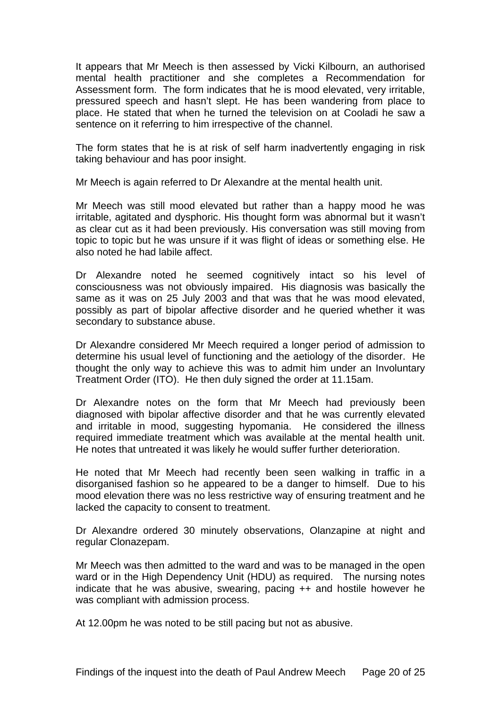It appears that Mr Meech is then assessed by Vicki Kilbourn, an authorised mental health practitioner and she completes a Recommendation for Assessment form. The form indicates that he is mood elevated, very irritable, pressured speech and hasn't slept. He has been wandering from place to place. He stated that when he turned the television on at Cooladi he saw a sentence on it referring to him irrespective of the channel.

The form states that he is at risk of self harm inadvertently engaging in risk taking behaviour and has poor insight.

Mr Meech is again referred to Dr Alexandre at the mental health unit.

Mr Meech was still mood elevated but rather than a happy mood he was irritable, agitated and dysphoric. His thought form was abnormal but it wasn't as clear cut as it had been previously. His conversation was still moving from topic to topic but he was unsure if it was flight of ideas or something else. He also noted he had labile affect.

Dr Alexandre noted he seemed cognitively intact so his level of consciousness was not obviously impaired. His diagnosis was basically the same as it was on 25 July 2003 and that was that he was mood elevated, possibly as part of bipolar affective disorder and he queried whether it was secondary to substance abuse.

Dr Alexandre considered Mr Meech required a longer period of admission to determine his usual level of functioning and the aetiology of the disorder. He thought the only way to achieve this was to admit him under an Involuntary Treatment Order (ITO). He then duly signed the order at 11.15am.

Dr Alexandre notes on the form that Mr Meech had previously been diagnosed with bipolar affective disorder and that he was currently elevated and irritable in mood, suggesting hypomania. He considered the illness required immediate treatment which was available at the mental health unit. He notes that untreated it was likely he would suffer further deterioration.

He noted that Mr Meech had recently been seen walking in traffic in a disorganised fashion so he appeared to be a danger to himself. Due to his mood elevation there was no less restrictive way of ensuring treatment and he lacked the capacity to consent to treatment.

Dr Alexandre ordered 30 minutely observations, Olanzapine at night and regular Clonazepam.

Mr Meech was then admitted to the ward and was to be managed in the open ward or in the High Dependency Unit (HDU) as required. The nursing notes indicate that he was abusive, swearing, pacing ++ and hostile however he was compliant with admission process.

At 12.00pm he was noted to be still pacing but not as abusive.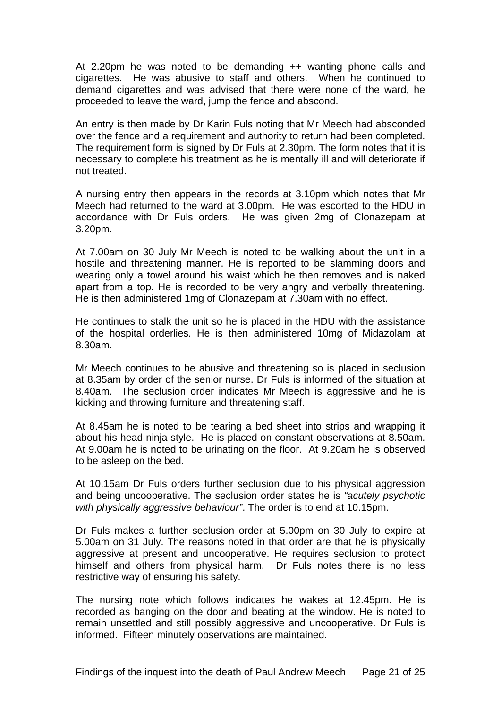At 2.20pm he was noted to be demanding ++ wanting phone calls and cigarettes. He was abusive to staff and others. When he continued to demand cigarettes and was advised that there were none of the ward, he proceeded to leave the ward, jump the fence and abscond.

An entry is then made by Dr Karin Fuls noting that Mr Meech had absconded over the fence and a requirement and authority to return had been completed. The requirement form is signed by Dr Fuls at 2.30pm. The form notes that it is necessary to complete his treatment as he is mentally ill and will deteriorate if not treated.

A nursing entry then appears in the records at 3.10pm which notes that Mr Meech had returned to the ward at 3.00pm. He was escorted to the HDU in accordance with Dr Fuls orders. He was given 2mg of Clonazepam at 3.20pm.

At 7.00am on 30 July Mr Meech is noted to be walking about the unit in a hostile and threatening manner. He is reported to be slamming doors and wearing only a towel around his waist which he then removes and is naked apart from a top. He is recorded to be very angry and verbally threatening. He is then administered 1mg of Clonazepam at 7.30am with no effect.

He continues to stalk the unit so he is placed in the HDU with the assistance of the hospital orderlies. He is then administered 10mg of Midazolam at 8.30am.

Mr Meech continues to be abusive and threatening so is placed in seclusion at 8.35am by order of the senior nurse. Dr Fuls is informed of the situation at 8.40am. The seclusion order indicates Mr Meech is aggressive and he is kicking and throwing furniture and threatening staff.

At 8.45am he is noted to be tearing a bed sheet into strips and wrapping it about his head ninja style. He is placed on constant observations at 8.50am. At 9.00am he is noted to be urinating on the floor. At 9.20am he is observed to be asleep on the bed.

At 10.15am Dr Fuls orders further seclusion due to his physical aggression and being uncooperative. The seclusion order states he is *"acutely psychotic with physically aggressive behaviour"*. The order is to end at 10.15pm.

Dr Fuls makes a further seclusion order at 5.00pm on 30 July to expire at 5.00am on 31 July. The reasons noted in that order are that he is physically aggressive at present and uncooperative. He requires seclusion to protect himself and others from physical harm. Dr Fuls notes there is no less restrictive way of ensuring his safety.

The nursing note which follows indicates he wakes at 12.45pm. He is recorded as banging on the door and beating at the window. He is noted to remain unsettled and still possibly aggressive and uncooperative. Dr Fuls is informed. Fifteen minutely observations are maintained.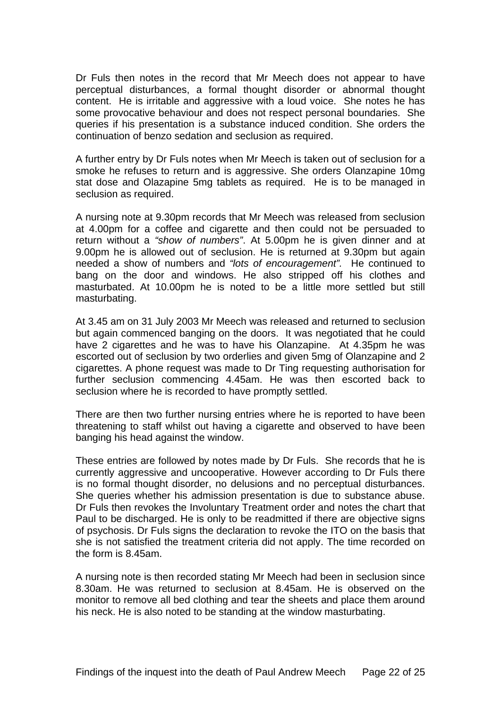Dr Fuls then notes in the record that Mr Meech does not appear to have perceptual disturbances, a formal thought disorder or abnormal thought content. He is irritable and aggressive with a loud voice. She notes he has some provocative behaviour and does not respect personal boundaries. She queries if his presentation is a substance induced condition. She orders the continuation of benzo sedation and seclusion as required.

A further entry by Dr Fuls notes when Mr Meech is taken out of seclusion for a smoke he refuses to return and is aggressive. She orders Olanzapine 10mg stat dose and Olazapine 5mg tablets as required. He is to be managed in seclusion as required.

A nursing note at 9.30pm records that Mr Meech was released from seclusion at 4.00pm for a coffee and cigarette and then could not be persuaded to return without a *"show of numbers"*. At 5.00pm he is given dinner and at 9.00pm he is allowed out of seclusion. He is returned at 9.30pm but again needed a show of numbers and *"lots of encouragement".* He continued to bang on the door and windows. He also stripped off his clothes and masturbated. At 10.00pm he is noted to be a little more settled but still masturbating.

At 3.45 am on 31 July 2003 Mr Meech was released and returned to seclusion but again commenced banging on the doors. It was negotiated that he could have 2 cigarettes and he was to have his Olanzapine. At 4.35pm he was escorted out of seclusion by two orderlies and given 5mg of Olanzapine and 2 cigarettes. A phone request was made to Dr Ting requesting authorisation for further seclusion commencing 4.45am. He was then escorted back to seclusion where he is recorded to have promptly settled.

There are then two further nursing entries where he is reported to have been threatening to staff whilst out having a cigarette and observed to have been banging his head against the window.

These entries are followed by notes made by Dr Fuls. She records that he is currently aggressive and uncooperative. However according to Dr Fuls there is no formal thought disorder, no delusions and no perceptual disturbances. She queries whether his admission presentation is due to substance abuse. Dr Fuls then revokes the Involuntary Treatment order and notes the chart that Paul to be discharged. He is only to be readmitted if there are objective signs of psychosis. Dr Fuls signs the declaration to revoke the ITO on the basis that she is not satisfied the treatment criteria did not apply. The time recorded on the form is 8.45am.

A nursing note is then recorded stating Mr Meech had been in seclusion since 8.30am. He was returned to seclusion at 8.45am. He is observed on the monitor to remove all bed clothing and tear the sheets and place them around his neck. He is also noted to be standing at the window masturbating.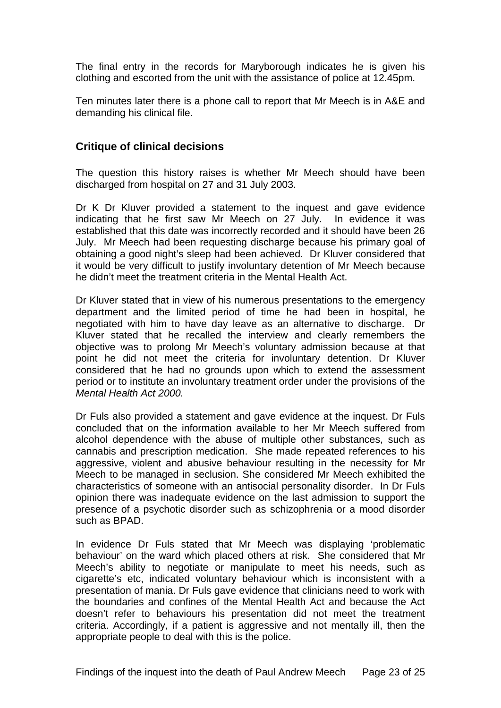<span id="page-23-0"></span>The final entry in the records for Maryborough indicates he is given his clothing and escorted from the unit with the assistance of police at 12.45pm.

Ten minutes later there is a phone call to report that Mr Meech is in A&E and demanding his clinical file.

### **Critique of clinical decisions**

The question this history raises is whether Mr Meech should have been discharged from hospital on 27 and 31 July 2003.

Dr K Dr Kluver provided a statement to the inquest and gave evidence indicating that he first saw Mr Meech on 27 July. In evidence it was established that this date was incorrectly recorded and it should have been 26 July. Mr Meech had been requesting discharge because his primary goal of obtaining a good night's sleep had been achieved. Dr Kluver considered that it would be very difficult to justify involuntary detention of Mr Meech because he didn't meet the treatment criteria in the Mental Health Act.

Dr Kluver stated that in view of his numerous presentations to the emergency department and the limited period of time he had been in hospital, he negotiated with him to have day leave as an alternative to discharge. Dr Kluver stated that he recalled the interview and clearly remembers the objective was to prolong Mr Meech's voluntary admission because at that point he did not meet the criteria for involuntary detention. Dr Kluver considered that he had no grounds upon which to extend the assessment period or to institute an involuntary treatment order under the provisions of the *Mental Health Act 2000.* 

Dr Fuls also provided a statement and gave evidence at the inquest. Dr Fuls concluded that on the information available to her Mr Meech suffered from alcohol dependence with the abuse of multiple other substances, such as cannabis and prescription medication. She made repeated references to his aggressive, violent and abusive behaviour resulting in the necessity for Mr Meech to be managed in seclusion. She considered Mr Meech exhibited the characteristics of someone with an antisocial personality disorder. In Dr Fuls opinion there was inadequate evidence on the last admission to support the presence of a psychotic disorder such as schizophrenia or a mood disorder such as BPAD.

In evidence Dr Fuls stated that Mr Meech was displaying 'problematic behaviour' on the ward which placed others at risk. She considered that Mr Meech's ability to negotiate or manipulate to meet his needs, such as cigarette's etc, indicated voluntary behaviour which is inconsistent with a presentation of mania. Dr Fuls gave evidence that clinicians need to work with the boundaries and confines of the Mental Health Act and because the Act doesn't refer to behaviours his presentation did not meet the treatment criteria. Accordingly, if a patient is aggressive and not mentally ill, then the appropriate people to deal with this is the police.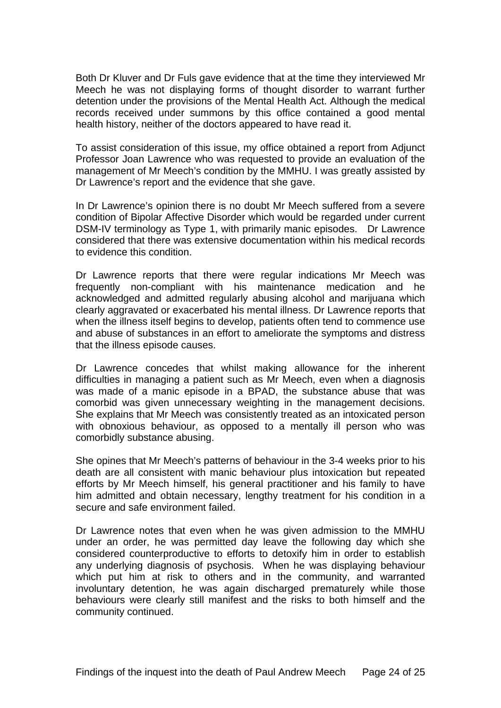Both Dr Kluver and Dr Fuls gave evidence that at the time they interviewed Mr Meech he was not displaying forms of thought disorder to warrant further detention under the provisions of the Mental Health Act. Although the medical records received under summons by this office contained a good mental health history, neither of the doctors appeared to have read it.

To assist consideration of this issue, my office obtained a report from Adjunct Professor Joan Lawrence who was requested to provide an evaluation of the management of Mr Meech's condition by the MMHU. I was greatly assisted by Dr Lawrence's report and the evidence that she gave.

In Dr Lawrence's opinion there is no doubt Mr Meech suffered from a severe condition of Bipolar Affective Disorder which would be regarded under current DSM-IV terminology as Type 1, with primarily manic episodes. Dr Lawrence considered that there was extensive documentation within his medical records to evidence this condition.

Dr Lawrence reports that there were regular indications Mr Meech was frequently non-compliant with his maintenance medication and he acknowledged and admitted regularly abusing alcohol and marijuana which clearly aggravated or exacerbated his mental illness. Dr Lawrence reports that when the illness itself begins to develop, patients often tend to commence use and abuse of substances in an effort to ameliorate the symptoms and distress that the illness episode causes.

Dr Lawrence concedes that whilst making allowance for the inherent difficulties in managing a patient such as Mr Meech, even when a diagnosis was made of a manic episode in a BPAD, the substance abuse that was comorbid was given unnecessary weighting in the management decisions. She explains that Mr Meech was consistently treated as an intoxicated person with obnoxious behaviour, as opposed to a mentally ill person who was comorbidly substance abusing.

She opines that Mr Meech's patterns of behaviour in the 3-4 weeks prior to his death are all consistent with manic behaviour plus intoxication but repeated efforts by Mr Meech himself, his general practitioner and his family to have him admitted and obtain necessary, lengthy treatment for his condition in a secure and safe environment failed.

Dr Lawrence notes that even when he was given admission to the MMHU under an order, he was permitted day leave the following day which she considered counterproductive to efforts to detoxify him in order to establish any underlying diagnosis of psychosis. When he was displaying behaviour which put him at risk to others and in the community, and warranted involuntary detention, he was again discharged prematurely while those behaviours were clearly still manifest and the risks to both himself and the community continued.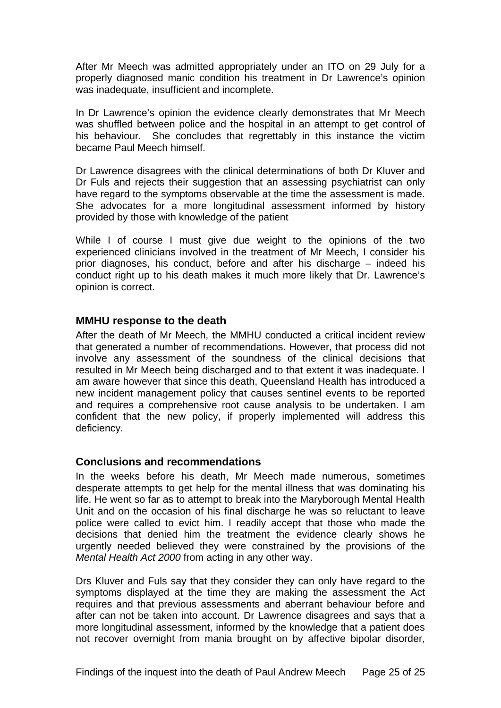<span id="page-25-0"></span>After Mr Meech was admitted appropriately under an ITO on 29 July for a properly diagnosed manic condition his treatment in Dr Lawrence's opinion was inadequate, insufficient and incomplete.

In Dr Lawrence's opinion the evidence clearly demonstrates that Mr Meech was shuffled between police and the hospital in an attempt to get control of his behaviour. She concludes that regrettably in this instance the victim became Paul Meech himself.

Dr Lawrence disagrees with the clinical determinations of both Dr Kluver and Dr Fuls and rejects their suggestion that an assessing psychiatrist can only have regard to the symptoms observable at the time the assessment is made. She advocates for a more longitudinal assessment informed by history provided by those with knowledge of the patient

While I of course I must give due weight to the opinions of the two experienced clinicians involved in the treatment of Mr Meech, I consider his prior diagnoses, his conduct, before and after his discharge – indeed his conduct right up to his death makes it much more likely that Dr. Lawrence's opinion is correct.

#### **MMHU response to the death**

After the death of Mr Meech, the MMHU conducted a critical incident review that generated a number of recommendations. However, that process did not involve any assessment of the soundness of the clinical decisions that resulted in Mr Meech being discharged and to that extent it was inadequate. I am aware however that since this death, Queensland Health has introduced a new incident management policy that causes sentinel events to be reported and requires a comprehensive root cause analysis to be undertaken. I am confident that the new policy, if properly implemented will address this deficiency.

#### **Conclusions and recommendations**

In the weeks before his death, Mr Meech made numerous, sometimes desperate attempts to get help for the mental illness that was dominating his life. He went so far as to attempt to break into the Maryborough Mental Health Unit and on the occasion of his final discharge he was so reluctant to leave police were called to evict him. I readily accept that those who made the decisions that denied him the treatment the evidence clearly shows he urgently needed believed they were constrained by the provisions of the *Mental Health Act 2000* from acting in any other way.

Drs Kluver and Fuls say that they consider they can only have regard to the symptoms displayed at the time they are making the assessment the Act requires and that previous assessments and aberrant behaviour before and after can not be taken into account. Dr Lawrence disagrees and says that a more longitudinal assessment, informed by the knowledge that a patient does not recover overnight from mania brought on by affective bipolar disorder,